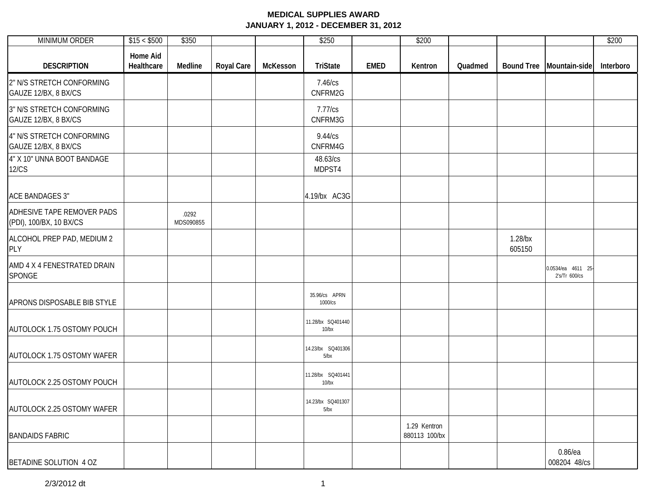| <b>MINIMUM ORDER</b>                                  | \$15 < \$500                  | \$350              |                   |          | \$250                         |             | \$200                         |         |                      |                                    | \$200     |
|-------------------------------------------------------|-------------------------------|--------------------|-------------------|----------|-------------------------------|-------------|-------------------------------|---------|----------------------|------------------------------------|-----------|
| <b>DESCRIPTION</b>                                    | <b>Home Aid</b><br>Healthcare | Medline            | <b>Royal Care</b> | McKesson | <b>TriState</b>               | <b>EMED</b> | Kentron                       | Quadmed |                      | Bound Tree   Mountain-side         | Interboro |
| 2" N/S STRETCH CONFORMING<br>GAUZE 12/BX, 8 BX/CS     |                               |                    |                   |          | 7.46/cs<br>CNFRM2G            |             |                               |         |                      |                                    |           |
| 3" N/S STRETCH CONFORMING<br>GAUZE 12/BX, 8 BX/CS     |                               |                    |                   |          | 7.77/cs<br>CNFRM3G            |             |                               |         |                      |                                    |           |
| 4" N/S STRETCH CONFORMING<br>GAUZE 12/BX, 8 BX/CS     |                               |                    |                   |          | 9.44/cs<br>CNFRM4G            |             |                               |         |                      |                                    |           |
| 4" X 10" UNNA BOOT BANDAGE<br><b>12/CS</b>            |                               |                    |                   |          | 48.63/cs<br>MDPST4            |             |                               |         |                      |                                    |           |
| <b>ACE BANDAGES 3"</b>                                |                               |                    |                   |          | 4.19/bx AC3G                  |             |                               |         |                      |                                    |           |
| ADHESIVE TAPE REMOVER PADS<br>(PDI), 100/BX, 10 BX/CS |                               | .0292<br>MDS090855 |                   |          |                               |             |                               |         |                      |                                    |           |
| ALCOHOL PREP PAD, MEDIUM 2<br><b>PLY</b>              |                               |                    |                   |          |                               |             |                               |         | $1.28$ /bx<br>605150 |                                    |           |
| AMD 4 X 4 FENESTRATED DRAIN<br>SPONGE                 |                               |                    |                   |          |                               |             |                               |         |                      | 0.0534/ea 4611 25<br>2's/Tr 600/cs |           |
| APRONS DISPOSABLE BIB STYLE                           |                               |                    |                   |          | 35.96/cs APRN<br>1000/cs      |             |                               |         |                      |                                    |           |
| AUTOLOCK 1.75 OSTOMY POUCH                            |                               |                    |                   |          | 11.28/bx SQ401440<br>$10$ /bx |             |                               |         |                      |                                    |           |
| AUTOLOCK 1.75 OSTOMY WAFER                            |                               |                    |                   |          | 14.23/bx SQ401306<br>5/bx     |             |                               |         |                      |                                    |           |
| AUTOLOCK 2.25 OSTOMY POUCH                            |                               |                    |                   |          | 11.28/bx SQ401441<br>10/bx    |             |                               |         |                      |                                    |           |
| AUTOLOCK 2.25 OSTOMY WAFER                            |                               |                    |                   |          | 14.23/bx SQ401307<br>5/bx     |             |                               |         |                      |                                    |           |
| <b>BANDAIDS FABRIC</b>                                |                               |                    |                   |          |                               |             | 1.29 Kentron<br>880113 100/bx |         |                      |                                    |           |
| BETADINE SOLUTION 4 OZ                                |                               |                    |                   |          |                               |             |                               |         |                      | $0.86$ /ea<br>008204 48/cs         |           |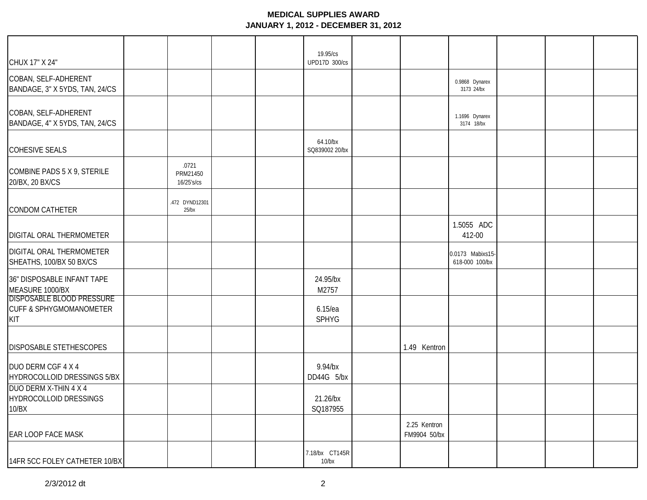| CHUX 17" X 24"                                                                       |                                 | 19.95/cs<br>UPD17D 300/cs  |                              |                                    |  |
|--------------------------------------------------------------------------------------|---------------------------------|----------------------------|------------------------------|------------------------------------|--|
| COBAN, SELF-ADHERENT<br>BANDAGE, 3" X 5YDS, TAN, 24/CS                               |                                 |                            |                              | 0.9868 Dynarex<br>3173 24/bx       |  |
| COBAN, SELF-ADHERENT<br>BANDAGE, 4" X 5YDS, TAN, 24/CS                               |                                 |                            |                              | 1.1696 Dynarex<br>3174 18/bx       |  |
| <b>COHESIVE SEALS</b>                                                                |                                 | 64.10/bx<br>SQ839002 20/bx |                              |                                    |  |
| COMBINE PADS 5 X 9, STERILE<br>20/BX, 20 BX/CS                                       | .0721<br>PRM21450<br>16/25's/cs |                            |                              |                                    |  |
| <b>CONDOM CATHETER</b>                                                               | .472 DYND12301<br>25/bx         |                            |                              |                                    |  |
| DIGITAL ORAL THERMOMETER                                                             |                                 |                            |                              | 1.5055 ADC<br>412-00               |  |
| DIGITAL ORAL THERMOMETER<br>SHEATHS, 100/BX 50 BX/CS                                 |                                 |                            |                              | 0.0173 Mabixs15-<br>618-000 100/bx |  |
| 36" DISPOSABLE INFANT TAPE<br>MEASURE 1000/BX                                        |                                 | 24.95/bx<br>M2757          |                              |                                    |  |
| <b>DISPOSABLE BLOOD PRESSURE</b><br><b>CUFF &amp; SPHYGMOMANOMETER</b><br><b>KIT</b> |                                 | $6.15$ /ea<br><b>SPHYG</b> |                              |                                    |  |
| <b>DISPOSABLE STETHESCOPES</b>                                                       |                                 |                            | 1.49 Kentron                 |                                    |  |
| DUO DERM CGF 4 X 4<br>HYDROCOLLOID DRESSINGS 5/BX                                    |                                 | 9.94/bx<br>DD44G 5/bx      |                              |                                    |  |
| DUO DERM X-THIN 4 X 4<br>HYDROCOLLOID DRESSINGS<br>10/BX                             |                                 | 21.26/bx<br>SQ187955       |                              |                                    |  |
| <b>EAR LOOP FACE MASK</b>                                                            |                                 |                            | 2.25 Kentron<br>FM9904 50/bx |                                    |  |
| 14FR 5CC FOLEY CATHETER 10/BX                                                        |                                 | 7.18/bx CT145R<br>$10$ /bx |                              |                                    |  |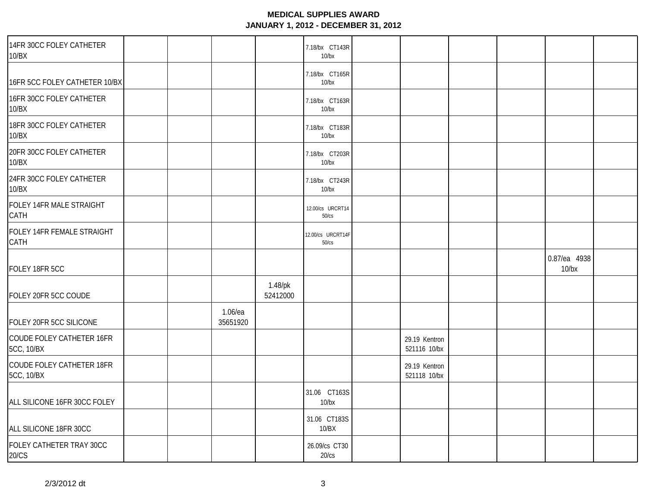| 14FR 30CC FOLEY CATHETER<br>10/BX              |                        |                        | 7.18/bx CT143R<br>$10$ /bx |                               |  |                       |  |
|------------------------------------------------|------------------------|------------------------|----------------------------|-------------------------------|--|-----------------------|--|
| 16FR 5CC FOLEY CATHETER 10/BX                  |                        |                        | 7.18/bx CT165R<br>$10$ /bx |                               |  |                       |  |
| 16FR 30CC FOLEY CATHETER<br>10/BX              |                        |                        | 7.18/bx CT163R<br>$10$ /bx |                               |  |                       |  |
| 18FR 30CC FOLEY CATHETER<br>10/BX              |                        |                        | 7.18/bx CT183R<br>$10$ /bx |                               |  |                       |  |
| 20FR 30CC FOLEY CATHETER<br>10/BX              |                        |                        | 7.18/bx CT203R<br>$10$ /bx |                               |  |                       |  |
| 24FR 30CC FOLEY CATHETER<br>10/BX              |                        |                        | 7.18/bx CT243R<br>$10$ /bx |                               |  |                       |  |
| FOLEY 14FR MALE STRAIGHT<br>CATH               |                        |                        | 12.00/cs URCRT14<br>50/cs  |                               |  |                       |  |
| FOLEY 14FR FEMALE STRAIGHT<br>CATH             |                        |                        | 12.00/cs URCRT14F<br>50/cs |                               |  |                       |  |
| FOLEY 18FR 5CC                                 |                        |                        |                            |                               |  | 0.87/ea 4938<br>10/bx |  |
| FOLEY 20FR 5CC COUDE                           |                        | $1.48$ /pk<br>52412000 |                            |                               |  |                       |  |
| FOLEY 20FR 5CC SILICONE                        | $1.06$ /ea<br>35651920 |                        |                            |                               |  |                       |  |
| COUDE FOLEY CATHETER 16FR<br>5CC, 10/BX        |                        |                        |                            | 29.19 Kentron<br>521116 10/bx |  |                       |  |
| COUDE FOLEY CATHETER 18FR<br><b>5CC, 10/BX</b> |                        |                        |                            | 29.19 Kentron<br>521118 10/bx |  |                       |  |
| ALL SILICONE 16FR 30CC FOLEY                   |                        |                        | 31.06 CT163S<br>$10$ /bx   |                               |  |                       |  |
| ALL SILICONE 18FR 30CC                         |                        |                        | 31.06 CT183S<br>10/BX      |                               |  |                       |  |
| FOLEY CATHETER TRAY 30CC<br>20/CS              |                        |                        | 26.09/cs CT30<br>20/cs     |                               |  |                       |  |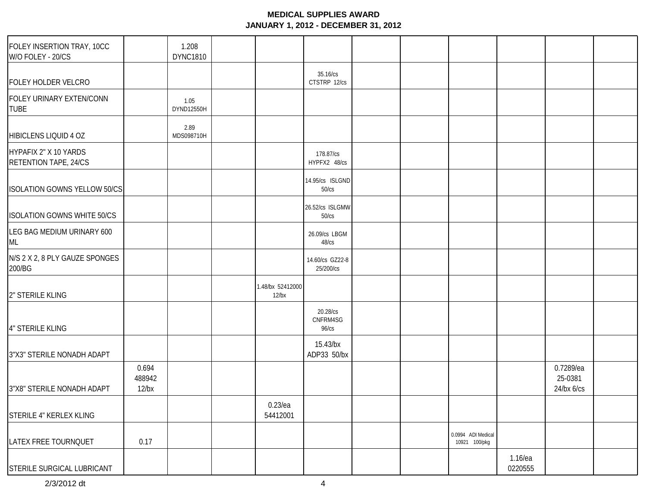| FOLEY INSERTION TRAY, 10CC<br>W/O FOLEY - 20/CS       |                             | 1.208<br><b>DYNC1810</b> |                              |                                     |  |                                     |                    |                                          |  |
|-------------------------------------------------------|-----------------------------|--------------------------|------------------------------|-------------------------------------|--|-------------------------------------|--------------------|------------------------------------------|--|
| FOLEY HOLDER VELCRO                                   |                             |                          |                              | 35.16/cs<br>CTSTRP 12/cs            |  |                                     |                    |                                          |  |
| FOLEY URINARY EXTEN/CONN<br><b>TUBE</b>               |                             | 1.05<br>DYND12550H       |                              |                                     |  |                                     |                    |                                          |  |
| HIBICLENS LIQUID 4 OZ                                 |                             | 2.89<br>MDS098710H       |                              |                                     |  |                                     |                    |                                          |  |
| HYPAFIX 2" X 10 YARDS<br><b>RETENTION TAPE, 24/CS</b> |                             |                          |                              | 178.87/cs<br>HYPFX2 48/cs           |  |                                     |                    |                                          |  |
| <b>ISOLATION GOWNS YELLOW 50/CS</b>                   |                             |                          |                              | 14.95/cs ISLGND<br>50/cs            |  |                                     |                    |                                          |  |
| <b>ISOLATION GOWNS WHITE 50/CS</b>                    |                             |                          |                              | 26.52/cs ISLGMW<br>50/cs            |  |                                     |                    |                                          |  |
| LEG BAG MEDIUM URINARY 600<br>ML                      |                             |                          |                              | 26.09/cs LBGM<br>$48$ / $cs$        |  |                                     |                    |                                          |  |
| N/S 2 X 2, 8 PLY GAUZE SPONGES<br>200/BG              |                             |                          |                              | 14.60/cs GZ22-8<br>25/200/cs        |  |                                     |                    |                                          |  |
| 2" STERILE KLING                                      |                             |                          | 1.48/bx 52412000<br>$12$ /bx |                                     |  |                                     |                    |                                          |  |
| 4" STERILE KLING                                      |                             |                          |                              | 20.28/cs<br>CNFRM4SG<br>$96$ / $cs$ |  |                                     |                    |                                          |  |
| 3"X3" STERILE NONADH ADAPT                            |                             |                          |                              | 15.43/bx<br>ADP33 50/bx             |  |                                     |                    |                                          |  |
| 3"X8" STERILE NONADH ADAPT                            | 0.694<br>488942<br>$12$ /bx |                          |                              |                                     |  |                                     |                    | 0.7289/ea<br>25-0381<br>$24$ /bx $6$ /cs |  |
| STERILE 4" KERLEX KLING                               |                             |                          | $0.23$ /ea<br>54412001       |                                     |  |                                     |                    |                                          |  |
| LATEX FREE TOURNQUET                                  | 0.17                        |                          |                              |                                     |  | 0.0994 ADI Medical<br>10921 100/pkg |                    |                                          |  |
| STERILE SURGICAL LUBRICANT                            |                             |                          |                              |                                     |  |                                     | 1.16/ea<br>0220555 |                                          |  |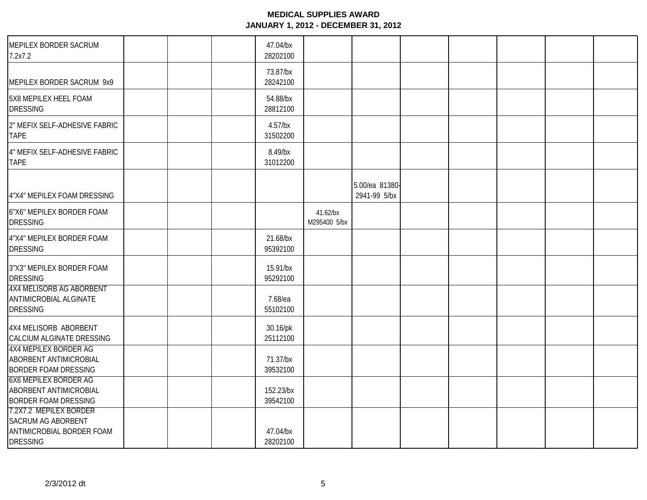| MEPILEX BORDER SACRUM<br>7.2x7.2                                                                    | 47.04/bx<br>28202100   |                          |                                |  |  |
|-----------------------------------------------------------------------------------------------------|------------------------|--------------------------|--------------------------------|--|--|
| MEPILEX BORDER SACRUM 9x9                                                                           | 73.87/bx<br>28242100   |                          |                                |  |  |
| 5X8 MEPILEX HEEL FOAM<br><b>DRESSING</b>                                                            | 54.88/bx<br>28812100   |                          |                                |  |  |
| 2" MEFIX SELF-ADHESIVE FABRIC<br><b>TAPE</b>                                                        | $4.57$ /bx<br>31502200 |                          |                                |  |  |
| 4" MEFIX SELF-ADHESIVE FABRIC<br><b>TAPE</b>                                                        | 8.49/bx<br>31012200    |                          |                                |  |  |
| 4"X4" MEPILEX FOAM DRESSING                                                                         |                        |                          | 5.00/ea 81380-<br>2941-99 5/bx |  |  |
| 6"X6" MEPILEX BORDER FOAM<br><b>DRESSING</b>                                                        |                        | 41.62/bx<br>M295400 5/bx |                                |  |  |
| 4"X4" MEPILEX BORDER FOAM<br><b>DRESSING</b>                                                        | 21.68/bx<br>95392100   |                          |                                |  |  |
| 3"X3" MEPILEX BORDER FOAM<br><b>DRESSING</b>                                                        | 15.91/bx<br>95292100   |                          |                                |  |  |
| <b>4X4 MELISORB AG ABORBENT</b><br><b>ANTIMICROBIAL ALGINATE</b><br><b>DRESSING</b>                 | 7.68/ea<br>55102100    |                          |                                |  |  |
| 4X4 MELISORB ABORBENT<br>CALCIUM ALGINATE DRESSING                                                  | 30.16/pk<br>25112100   |                          |                                |  |  |
| <b>4X4 MEPILEX BORDER AG</b><br>ABORBENT ANTIMICROBIAL<br><b>BORDER FOAM DRESSING</b>               | 71.37/bx<br>39532100   |                          |                                |  |  |
| <b>6X6 MEPILEX BORDER AG</b><br>ABORBENT ANTIMICROBIAL<br><b>BORDER FOAM DRESSING</b>               | 152.23/bx<br>39542100  |                          |                                |  |  |
| 7.2X7.2 MEPILEX BORDER<br><b>SACRUM AG ABORBENT</b><br>ANTIMICROBIAL BORDER FOAM<br><b>DRESSING</b> | 47.04/bx<br>28202100   |                          |                                |  |  |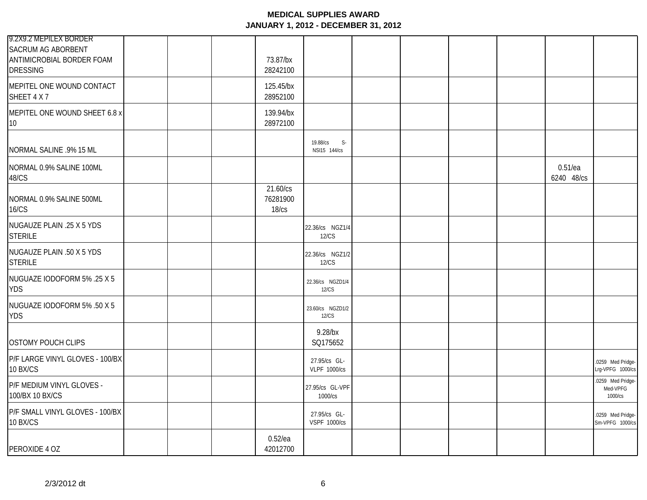| 9.2X9.2 MEPILEX BORDER<br><b>SACRUM AG ABORBENT</b><br>ANTIMICROBIAL BORDER FOAM<br><b>DRESSING</b> | 73.87/bx<br>28242100          |                                     |  |  |                          |                                          |
|-----------------------------------------------------------------------------------------------------|-------------------------------|-------------------------------------|--|--|--------------------------|------------------------------------------|
| MEPITEL ONE WOUND CONTACT<br>SHEET 4 X 7                                                            | 125.45/bx<br>28952100         |                                     |  |  |                          |                                          |
| MEPITEL ONE WOUND SHEET 6.8 x<br>10                                                                 | 139.94/bx<br>28972100         |                                     |  |  |                          |                                          |
| NORMAL SALINE .9% 15 ML                                                                             |                               | $S-$<br>19.88/cs<br>NSI15 144/cs    |  |  |                          |                                          |
| NORMAL 0.9% SALINE 100ML<br>48/CS                                                                   |                               |                                     |  |  | $0.51$ /ea<br>6240 48/cs |                                          |
| NORMAL 0.9% SALINE 500ML<br><b>16/CS</b>                                                            | 21.60/cs<br>76281900<br>18/cs |                                     |  |  |                          |                                          |
| NUGAUZE PLAIN .25 X 5 YDS<br><b>STERILE</b>                                                         |                               | 22.36/cs NGZ1/4<br>12/CS            |  |  |                          |                                          |
| NUGAUZE PLAIN .50 X 5 YDS<br><b>STERILE</b>                                                         |                               | 22.36/cs NGZ1/2<br>12/CS            |  |  |                          |                                          |
| NUGUAZE IODOFORM 5% .25 X 5<br><b>YDS</b>                                                           |                               | 22.36/cs NGZD1/4<br><b>12/CS</b>    |  |  |                          |                                          |
| NUGUAZE IODOFORM 5% .50 X 5<br><b>YDS</b>                                                           |                               | 23.60/cs NGZD1/2<br>12/CS           |  |  |                          |                                          |
| <b>OSTOMY POUCH CLIPS</b>                                                                           |                               | 9.28/bx<br>SQ175652                 |  |  |                          |                                          |
| P/F LARGE VINYL GLOVES - 100/BX<br>10 BX/CS                                                         |                               | 27.95/cs GL-<br><b>VLPF 1000/cs</b> |  |  |                          | .0259 Med Pridge-<br>Lrg-VPFG 1000/cs    |
| P/F MEDIUM VINYL GLOVES -<br>100/BX 10 BX/CS                                                        |                               | 27.95/cs GL-VPF<br>1000/cs          |  |  |                          | .0259 Med Pridge-<br>Med-VPFG<br>1000/cs |
| P/F SMALL VINYL GLOVES - 100/BX<br>10 BX/CS                                                         |                               | 27.95/cs GL-<br><b>VSPF 1000/cs</b> |  |  |                          | .0259 Med Pridge-<br>Sm-VPFG 1000/cs     |
| PEROXIDE 4 OZ                                                                                       | $0.52$ /ea<br>42012700        |                                     |  |  |                          |                                          |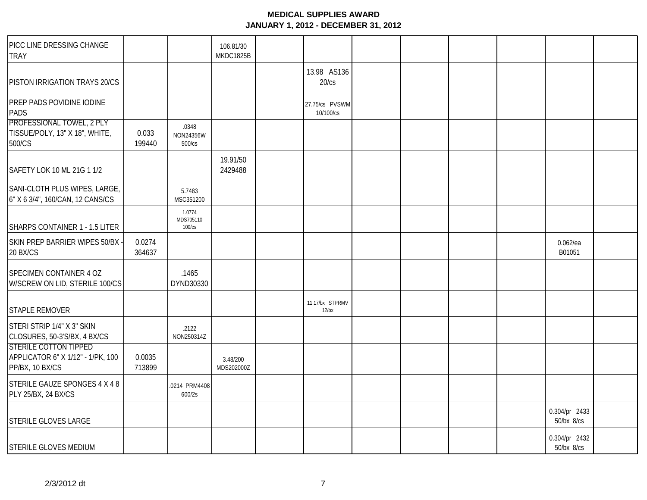| PICC LINE DRESSING CHANGE<br><b>TRAY</b>                                             |                  |                               | 106.81/30<br>MKDC1825B |                             |  |                             |  |
|--------------------------------------------------------------------------------------|------------------|-------------------------------|------------------------|-----------------------------|--|-----------------------------|--|
| PISTON IRRIGATION TRAYS 20/CS                                                        |                  |                               |                        | 13.98 AS136<br>20/cs        |  |                             |  |
| PREP PADS POVIDINE IODINE<br><b>PADS</b>                                             |                  |                               |                        | 27.75/cs PVSWM<br>10/100/cs |  |                             |  |
| PROFESSIONAL TOWEL, 2 PLY<br>TISSUE/POLY, 13" X 18", WHITE,<br>500/CS                | 0.033<br>199440  | .0348<br>NON24356W<br>500/cs  |                        |                             |  |                             |  |
| SAFETY LOK 10 ML 21G 1 1/2                                                           |                  |                               | 19.91/50<br>2429488    |                             |  |                             |  |
| SANI-CLOTH PLUS WIPES, LARGE,<br>6" X 6 3/4", 160/CAN, 12 CANS/CS                    |                  | 5.7483<br>MSC351200           |                        |                             |  |                             |  |
| SHARPS CONTAINER 1 - 1.5 LITER                                                       |                  | 1.0774<br>MDS705110<br>100/cs |                        |                             |  |                             |  |
| SKIN PREP BARRIER WIPES 50/BX<br>20 BX/CS                                            | 0.0274<br>364637 |                               |                        |                             |  | $0.062$ /ea<br>B01051       |  |
| SPECIMEN CONTAINER 4 OZ<br>W/SCREW ON LID, STERILE 100/CS                            |                  | .1465<br>DYND30330            |                        |                             |  |                             |  |
| <b>STAPLE REMOVER</b>                                                                |                  |                               |                        | 11.17/bx STPRMV<br>$12$ /bx |  |                             |  |
| STERI STRIP 1/4" X 3" SKIN<br>CLOSURES, 50-3'S/BX, 4 BX/CS                           |                  | .2122<br>NON250314Z           |                        |                             |  |                             |  |
| <b>STERILE COTTON TIPPED</b><br>APPLICATOR 6" X 1/12" - 1/PK, 100<br>PP/BX, 10 BX/CS | 0.0035<br>713899 |                               | 3.48/200<br>MDS202000Z |                             |  |                             |  |
| STERILE GAUZE SPONGES 4 X 4 8<br><b>PLY 25/BX, 24 BX/CS</b>                          |                  | .0214 PRM4408<br>600/2s       |                        |                             |  |                             |  |
| STERILE GLOVES LARGE                                                                 |                  |                               |                        |                             |  | 0.304/pr 2433<br>50/bx 8/cs |  |
| STERILE GLOVES MEDIUM                                                                |                  |                               |                        |                             |  | 0.304/pr 2432<br>50/bx 8/cs |  |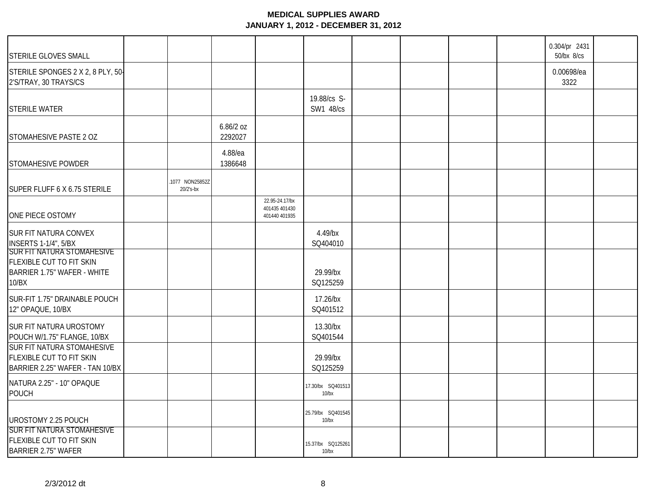| STERILE GLOVES SMALL                                                                             |                             |                      |                                                  |                            |  | 0.304/pr 2431<br>50/bx 8/cs |  |
|--------------------------------------------------------------------------------------------------|-----------------------------|----------------------|--------------------------------------------------|----------------------------|--|-----------------------------|--|
| STERILE SPONGES 2 X 2, 8 PLY, 50-<br>2'S/TRAY, 30 TRAYS/CS                                       |                             |                      |                                                  |                            |  | 0.00698/ea<br>3322          |  |
| <b>STERILE WATER</b>                                                                             |                             |                      |                                                  | 19.88/cs S-<br>SW1 48/cs   |  |                             |  |
| STOMAHESIVE PASTE 2 OZ                                                                           |                             | 6.86/2 oz<br>2292027 |                                                  |                            |  |                             |  |
| STOMAHESIVE POWDER                                                                               |                             | 4.88/ea<br>1386648   |                                                  |                            |  |                             |  |
| SUPER FLUFF 6 X 6.75 STERILE                                                                     | 1077 NON25852Z<br>20/2's-bx |                      |                                                  |                            |  |                             |  |
| ONE PIECE OSTOMY                                                                                 |                             |                      | 22.95-24.17/bx<br>401435 401430<br>401440 401935 |                            |  |                             |  |
| SUR FIT NATURA CONVEX<br><b>INSERTS 1-1/4", 5/BX</b>                                             |                             |                      |                                                  | 4.49/bx<br>SQ404010        |  |                             |  |
| SUR FIT NATURA STOMAHESIVE<br>FLEXIBLE CUT TO FIT SKIN<br>BARRIER 1.75" WAFER - WHITE<br>10/BX   |                             |                      |                                                  | 29.99/bx<br>SQ125259       |  |                             |  |
| SUR-FIT 1.75" DRAINABLE POUCH<br>12" OPAQUE, 10/BX                                               |                             |                      |                                                  | 17.26/bx<br>SQ401512       |  |                             |  |
| SUR FIT NATURA UROSTOMY<br>POUCH W/1.75" FLANGE, 10/BX                                           |                             |                      |                                                  | 13.30/bx<br>SQ401544       |  |                             |  |
| SUR FIT NATURA STOMAHESIVE<br><b>FLEXIBLE CUT TO FIT SKIN</b><br>BARRIER 2.25" WAFER - TAN 10/BX |                             |                      |                                                  | 29.99/bx<br>SQ125259       |  |                             |  |
| NATURA 2.25" - 10" OPAQUE<br>POUCH                                                               |                             |                      |                                                  | 17.30/bx SQ401513<br>10/bx |  |                             |  |
| UROSTOMY 2.25 POUCH                                                                              |                             |                      |                                                  | 25.79/bx SQ401545<br>10/bx |  |                             |  |
| <b>SUR FIT NATURA STOMAHESIVE</b><br>FLEXIBLE CUT TO FIT SKIN<br><b>BARRIER 2.75" WAFER</b>      |                             |                      |                                                  | 15.37/bx SQ125261<br>10/bx |  |                             |  |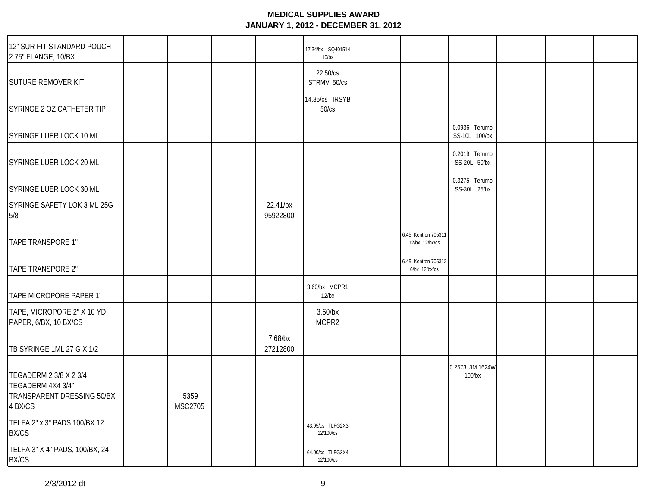| 12" SUR FIT STANDARD POUCH<br>2.75" FLANGE, 10/BX           |                         |                      | 17.34/bx SQ401514<br>$10$ /bx |                                       |                                |  |
|-------------------------------------------------------------|-------------------------|----------------------|-------------------------------|---------------------------------------|--------------------------------|--|
| <b>SUTURE REMOVER KIT</b>                                   |                         |                      | 22.50/cs<br>STRMV 50/cs       |                                       |                                |  |
| SYRINGE 2 OZ CATHETER TIP                                   |                         |                      | 14.85/cs IRSYB<br>50/cs       |                                       |                                |  |
| SYRINGE LUER LOCK 10 ML                                     |                         |                      |                               |                                       | 0.0936 Terumo<br>SS-10L 100/bx |  |
| SYRINGE LUER LOCK 20 ML                                     |                         |                      |                               |                                       | 0.2019 Terumo<br>SS-20L 50/bx  |  |
| SYRINGE LUER LOCK 30 ML                                     |                         |                      |                               |                                       | 0.3275 Terumo<br>SS-30L 25/bx  |  |
| SYRINGE SAFETY LOK 3 ML 25G<br>5/8                          |                         | 22.41/bx<br>95922800 |                               |                                       |                                |  |
| TAPE TRANSPORE 1"                                           |                         |                      |                               | 6.45 Kentron 705311<br>12/bx 12/bx/cs |                                |  |
| TAPE TRANSPORE 2"                                           |                         |                      |                               | 6.45 Kentron 705312<br>6/bx 12/bx/cs  |                                |  |
| TAPE MICROPORE PAPER 1"                                     |                         |                      | 3.60/bx MCPR1<br>$12$ /bx     |                                       |                                |  |
| TAPE, MICROPORE 2" X 10 YD<br>PAPER, 6/BX, 10 BX/CS         |                         |                      | $3.60$ /bx<br>MCPR2           |                                       |                                |  |
| TB SYRINGE 1ML 27 G X 1/2                                   |                         | 7.68/bx<br>27212800  |                               |                                       |                                |  |
| TEGADERM 2 3/8 X 2 3/4                                      |                         |                      |                               |                                       | 0.2573 3M 1624W<br>$100$ /bx   |  |
| TEGADERM 4X4 3/4"<br>TRANSPARENT DRESSING 50/BX,<br>4 BX/CS | .5359<br><b>MSC2705</b> |                      |                               |                                       |                                |  |
| TELFA 2" x 3" PADS 100/BX 12<br><b>BX/CS</b>                |                         |                      | 43.95/cs TLFG2X3<br>12/100/cs |                                       |                                |  |
| TELFA 3" X 4" PADS, 100/BX, 24<br><b>BX/CS</b>              |                         |                      | 64.00/cs TLFG3X4<br>12/100/cs |                                       |                                |  |